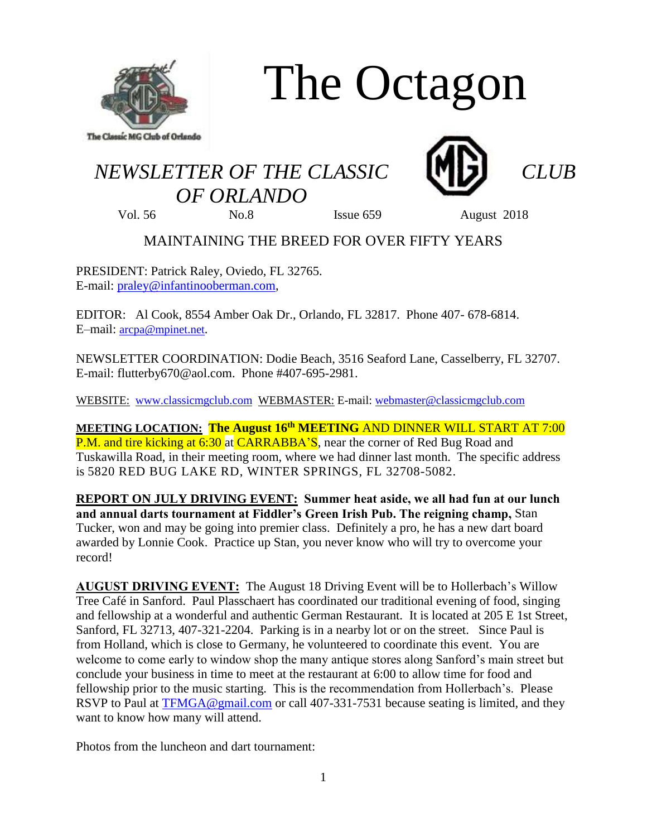

# The Octagon

## *NEWSLETTER OF THE CLASSIC CLUB*





*OF ORLANDO*

Vol. 56 No.8 Issue 659 August 2018

### MAINTAINING THE BREED FOR OVER FIFTY YEARS

PRESIDENT: Patrick Raley, Oviedo, FL 32765. E-mail: [praley@infantinooberman.com,](mailto:praley@infantinooberman.com)

EDITOR: Al Cook, 8554 Amber Oak Dr., Orlando, FL 32817. Phone 407- 678-6814. E–mail: [arcpa@mpinet.net](mailto:arcpa@mpinet.net).

NEWSLETTER COORDINATION: Dodie Beach, 3516 Seaford Lane, Casselberry, FL 32707. E-mail: flutterby670@aol.com. Phone #407-695-2981.

WEBSITE: [www.classicmgclub.com](http://www.classicmgclub.com/) WEBMASTER: E-mail: [webmaster@classicmgclub.com](mailto:webmaster@classicmgclub.com)

**MEETING LOCATION: The August 16 th MEETING** AND DINNER WILL START AT 7:00 P.M. and tire kicking at 6:30 at CARRABBA'S, near the corner of Red Bug Road and Tuskawilla Road, in their meeting room, where we had dinner last month. The specific address is 5820 RED BUG LAKE RD, WINTER SPRINGS, FL 32708-5082.

**REPORT ON JULY DRIVING EVENT: Summer heat aside, we all had fun at our lunch and annual darts tournament at Fiddler's Green Irish Pub. The reigning champ,** Stan Tucker, won and may be going into premier class. Definitely a pro, he has a new dart board awarded by Lonnie Cook. Practice up Stan, you never know who will try to overcome your record!

**AUGUST DRIVING EVENT:** The August 18 Driving Event will be to Hollerbach's Willow Tree Café in Sanford. Paul Plasschaert has coordinated our traditional evening of food, singing and fellowship at a wonderful and authentic German Restaurant. It is located at 205 E 1st Street, Sanford, FL 32713, 407-321-2204. Parking is in a nearby lot or on the street. Since Paul is from Holland, which is close to Germany, he volunteered to coordinate this event. You are welcome to come early to window shop the many antique stores along Sanford's main street but conclude your business in time to meet at the restaurant at 6:00 to allow time for food and fellowship prior to the music starting. This is the recommendation from Hollerbach's. Please RSVP to Paul at [TFMGA@gmail.com](mailto:TFMGA@gmail.com) or call 407-331-7531 because seating is limited, and they want to know how many will attend.

Photos from the luncheon and dart tournament: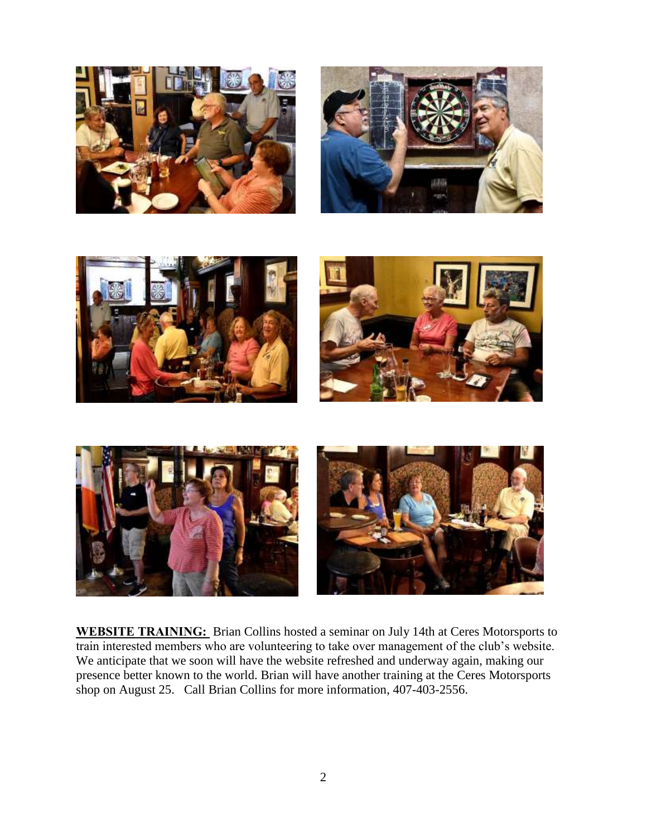









**WEBSITE TRAINING:** Brian Collins hosted a seminar on July 14th at Ceres Motorsports to train interested members who are volunteering to take over management of the club's website. We anticipate that we soon will have the website refreshed and underway again, making our presence better known to the world. Brian will have another training at the Ceres Motorsports shop on August 25. Call Brian Collins for more information, 407-403-2556.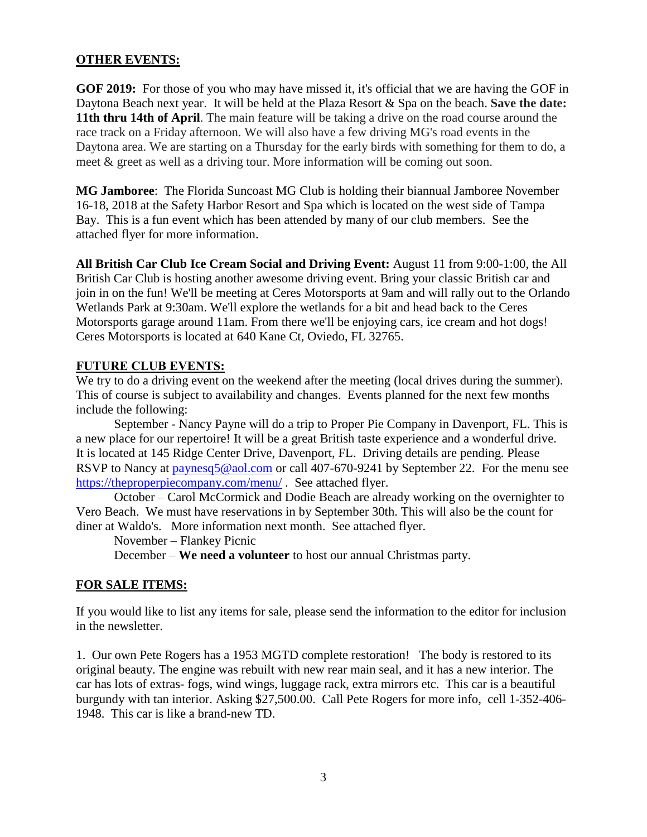#### **OTHER EVENTS:**

**GOF 2019:** For those of you who may have missed it, it's official that we are having the GOF in Daytona Beach next year. It will be held at the Plaza Resort & Spa on the beach. **Save the date: 11th thru 14th of April**. The main feature will be taking a drive on the road course around the race track on a Friday afternoon. We will also have a few driving MG's road events in the Daytona area. We are starting on a Thursday for the early birds with something for them to do, a meet & greet as well as a driving tour. More information will be coming out soon.

**MG Jamboree**: The Florida Suncoast MG Club is holding their biannual Jamboree November 16-18, 2018 at the Safety Harbor Resort and Spa which is located on the west side of Tampa Bay. This is a fun event which has been attended by many of our club members. See the attached flyer for more information.

**All British Car Club Ice Cream Social and Driving Event:** August 11 from 9:00-1:00, the All British Car Club is hosting another awesome driving event. Bring your classic British car and join in on the fun! We'll be meeting at Ceres Motorsports at 9am and will rally out to the Orlando Wetlands Park at 9:30am. We'll explore the wetlands for a bit and head back to the Ceres Motorsports garage around 11am. From there we'll be enjoying cars, ice cream and hot dogs! Ceres Motorsports is located at [640 Kane Ct, Oviedo, FL 32765.](http://maps.google.com/?q=Ceres%20Motorsports%2C%20640%20Kane%20Ct%2C%20Oviedo%2C%20FL%2032765%2C%20USA) 

#### **FUTURE CLUB EVENTS:**

We try to do a driving event on the weekend after the meeting (local drives during the summer). This of course is subject to availability and changes. Events planned for the next few months include the following:

September - Nancy Payne will do a trip to Proper Pie Company in Davenport, FL. This is a new place for our repertoire! It will be a great British taste experience and a wonderful drive. It is located at 145 Ridge Center Drive, Davenport, FL. Driving details are pending. Please RSVP to Nancy at [paynesq5@aol.com](mailto:paynesq5@aol.com) or call 407-670-9241 by September 22. For the menu see <https://theproperpiecompany.com/menu/> . See attached flyer.

October – Carol McCormick and Dodie Beach are already working on the overnighter to Vero Beach. We must have reservations in by September 30th. This will also be the count for diner at Waldo's. More information next month. See attached flyer.

November – Flankey Picnic

December – **We need a volunteer** to host our annual Christmas party.

#### **FOR SALE ITEMS:**

If you would like to list any items for sale, please send the information to the editor for inclusion in the newsletter.

1. Our own Pete Rogers has a 1953 MGTD complete restoration! The body is restored to its original beauty. The engine was rebuilt with new rear main seal, and it has a new interior. The car has lots of extras- fogs, wind wings, luggage rack, extra mirrors etc. This car is a beautiful burgundy with tan interior. Asking \$27,500.00. Call Pete Rogers for more info, cell 1-352-406- 1948. This car is like a brand-new TD.